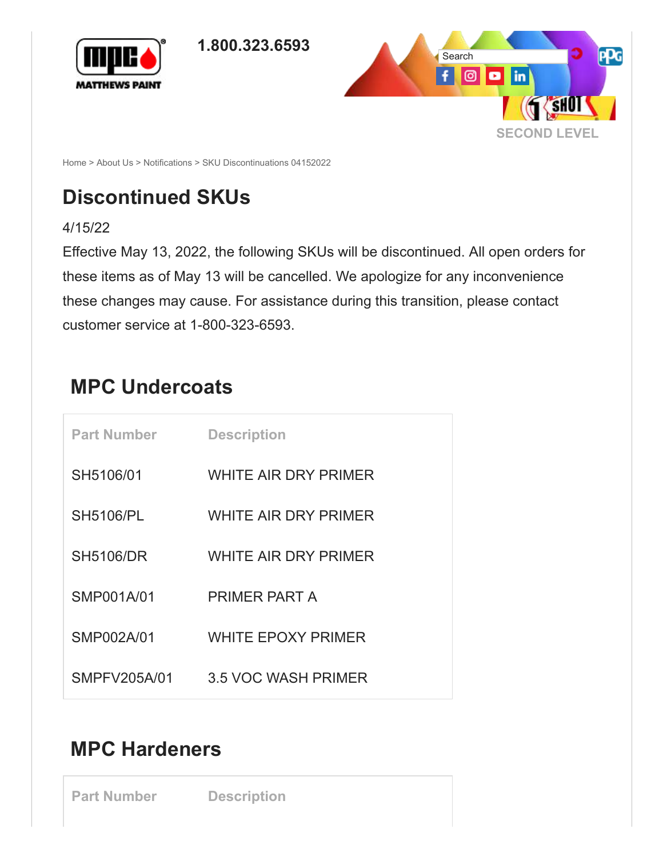

<span id="page-0-0"></span>



[Home](https://www.matthewspaint.com/Home.aspx) > [About Us](https://www.matthewspaint.com/About-Us.aspx) > [Notifications](https://www.matthewspaint.com/About-Us/Notifications.aspx) > SKU Discontinuations 04152022

## **Discontinued SKUs**

4/15/22

Effective May 13, 2022, the following SKUs will be discontinued. All open orders for these items as of May 13 will be cancelled. We apologize for any inconvenience these changes may cause. For assistance during this transition, please contact customer service at 1-800-323-6593.

#### **MPC Undercoats**

| <b>Part Number</b> | <b>Description</b>        |
|--------------------|---------------------------|
| SH5106/01          | WHITE AIR DRY PRIMER      |
| <b>SH5106/PL</b>   | WHITE AIR DRY PRIMER      |
| <b>SH5106/DR</b>   | WHITE AIR DRY PRIMER      |
| SMP001A/01         | PRIMER PART A             |
| SMP002A/01         | <b>WHITE EPOXY PRIMER</b> |
| SMPFV205A/01       | 3.5 VOC WASH PRIMER       |

#### **MPC Hardeners**

**Part Number Description**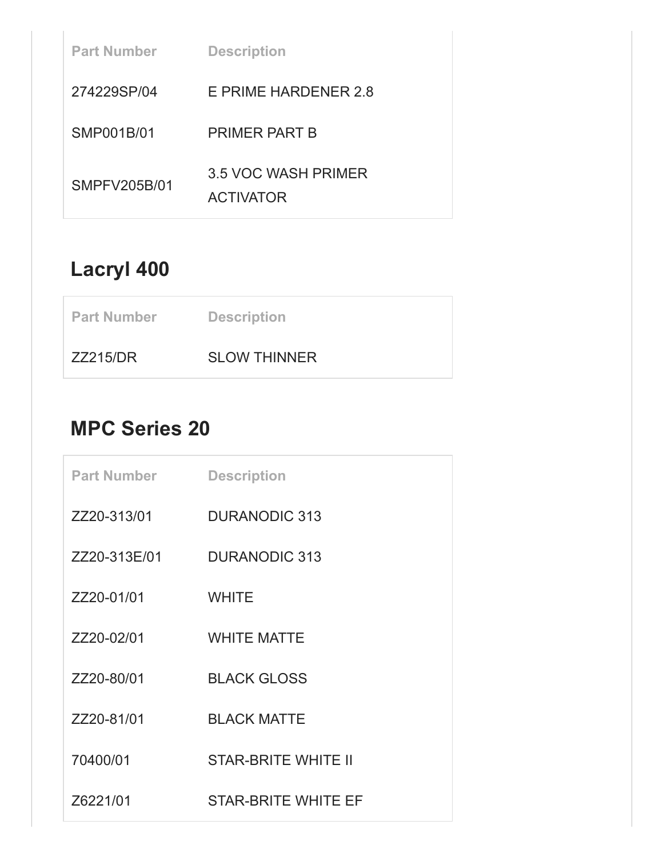| <b>Part Number</b> | <b>Description</b>                      |
|--------------------|-----------------------------------------|
| 274229SP/04        | E PRIME HARDENER 2.8                    |
| SMP001B/01         | <b>PRIMER PART B</b>                    |
| SMPFV205B/01       | 3.5 VOC WASH PRIMER<br><b>ACTIVATOR</b> |

## **Lacryl 400**

| <b>Part Number</b> | <b>Description</b>  |
|--------------------|---------------------|
| <b>ZZ215/DR</b>    | <b>SLOW THINNER</b> |

#### **MPC Series 20**

| <b>Part Number</b> | <b>Description</b>         |
|--------------------|----------------------------|
| ZZ20-313/01        | <b>DURANODIC 313</b>       |
| ZZ20-313E/01       | <b>DURANODIC 313</b>       |
| ZZ20-01/01         | <b>WHITE</b>               |
| ZZ20-02/01         | <b>WHITE MATTE</b>         |
| ZZ20-80/01         | <b>BLACK GLOSS</b>         |
| ZZ20-81/01         | <b>BLACK MATTE</b>         |
| 70400/01           | <b>STAR-BRITE WHITE II</b> |
| Z6221/01           | <b>STAR-BRITE WHITE EF</b> |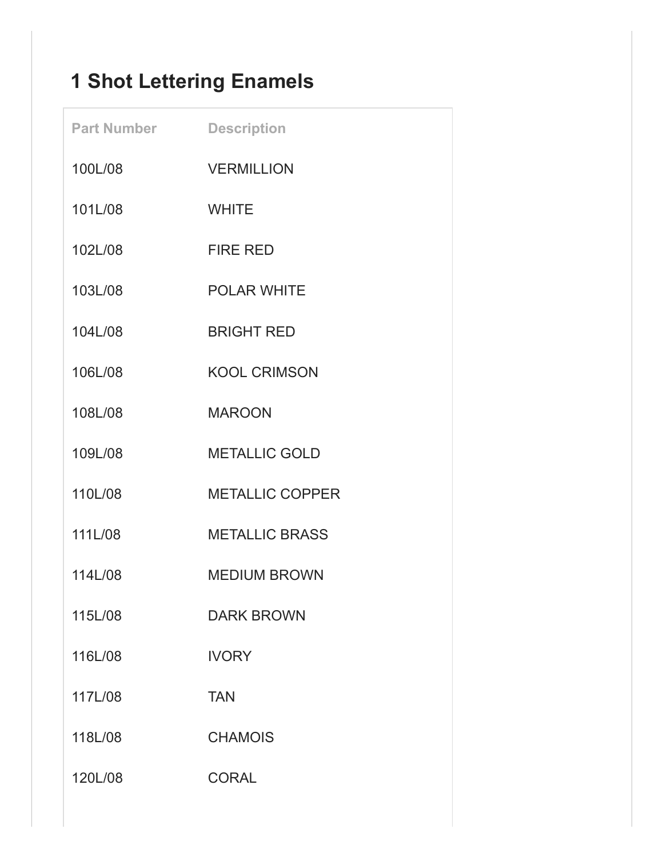# **1 Shot Lettering Enamels**

| <b>Part Number</b> | <b>Description</b>     |
|--------------------|------------------------|
| 100L/08            | <b>VERMILLION</b>      |
| 101L/08            | <b>WHITE</b>           |
| 102L/08            | <b>FIRE RED</b>        |
| 103L/08            | <b>POLAR WHITE</b>     |
| 104L/08            | <b>BRIGHT RED</b>      |
| 106L/08            | <b>KOOL CRIMSON</b>    |
| 108L/08            | <b>MAROON</b>          |
| 109L/08            | <b>METALLIC GOLD</b>   |
| 110L/08            | <b>METALLIC COPPER</b> |
| 111L/08            | <b>METALLIC BRASS</b>  |
| 114L/08            | <b>MEDIUM BROWN</b>    |
| 115L/08            | <b>DARK BROWN</b>      |
| 116L/08            | <b>IVORY</b>           |
| 117L/08            | <b>TAN</b>             |
| 118L/08            | <b>CHAMOIS</b>         |
| 120L/08            | <b>CORAL</b>           |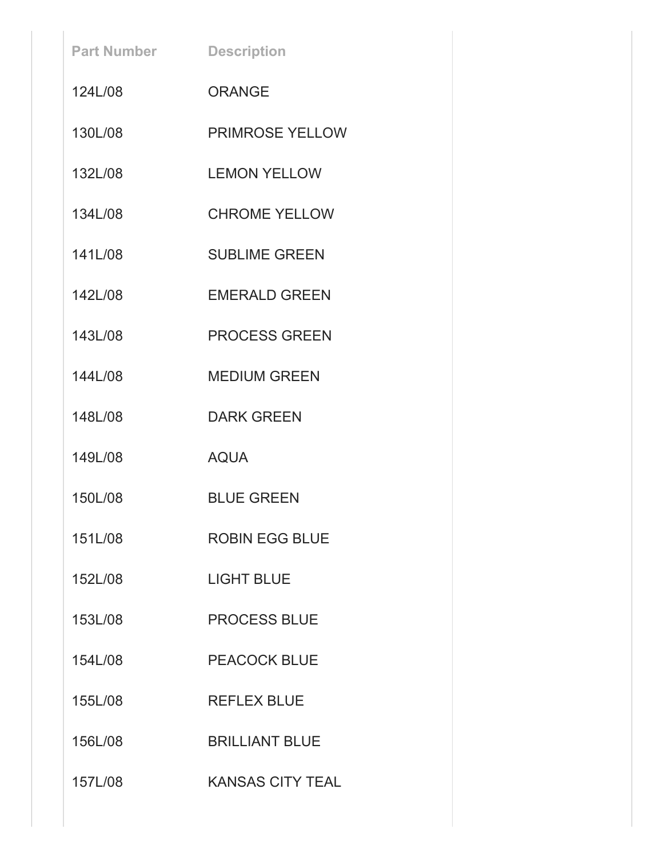| <b>Part Number</b> | <b>Description</b>      |
|--------------------|-------------------------|
| 1241/08            | <b>ORANGE</b>           |
| 130L/08            | <b>PRIMROSE YELLOW</b>  |
| 132L/08            | <b>LEMON YELLOW</b>     |
| 134L/08            | <b>CHROME YELLOW</b>    |
| 141L/08            | <b>SUBLIME GREEN</b>    |
| 142L/08            | <b>EMERALD GREEN</b>    |
| 143L/08            | <b>PROCESS GREEN</b>    |
| 144L/08            | <b>MEDIUM GREEN</b>     |
| 148L/08            | <b>DARK GREEN</b>       |
| 149L/08            | <b>AQUA</b>             |
| 150L/08            | <b>BLUE GREEN</b>       |
| 151L/08            | <b>ROBIN EGG BLUE</b>   |
| 152L/08            | <b>LIGHT BLUE</b>       |
| 153L/08            | <b>PROCESS BLUE</b>     |
| 154L/08            | <b>PEACOCK BLUE</b>     |
| 155L/08            | <b>REFLEX BLUE</b>      |
| 156L/08            | <b>BRILLIANT BLUE</b>   |
| 157L/08            | <b>KANSAS CITY TEAL</b> |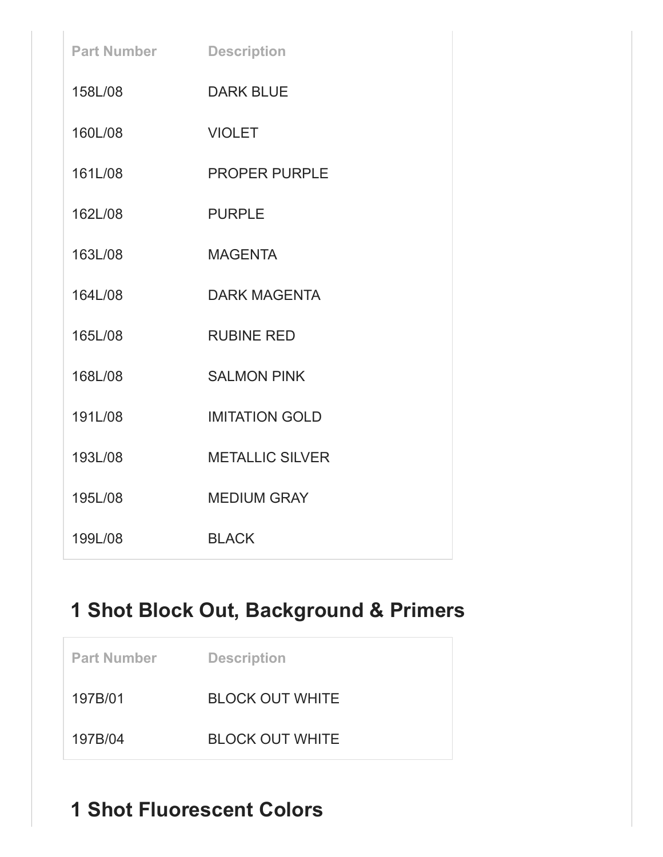| <b>Part Number</b> | <b>Description</b>     |
|--------------------|------------------------|
| 158L/08            | <b>DARK BLUE</b>       |
| 160L/08            | <b>VIOLET</b>          |
| 161L/08            | <b>PROPER PURPLE</b>   |
| 162L/08            | <b>PURPLE</b>          |
| 163L/08            | <b>MAGENTA</b>         |
| 164L/08            | <b>DARK MAGENTA</b>    |
| 165L/08            | <b>RUBINE RED</b>      |
| 168L/08            | <b>SALMON PINK</b>     |
| 191L/08            | <b>IMITATION GOLD</b>  |
| 193L/08            | <b>METALLIC SILVER</b> |
| 195L/08            | <b>MEDIUM GRAY</b>     |
| 199L/08            | <b>BLACK</b>           |

# **1 Shot Block Out, Background & Primers**

| <b>Part Number</b> | <b>Description</b>     |
|--------------------|------------------------|
| 197B/01            | <b>BLOCK OUT WHITE</b> |
| 197B/04            | <b>BLOCK OUT WHITE</b> |

# **1 Shot Fluorescent Colors**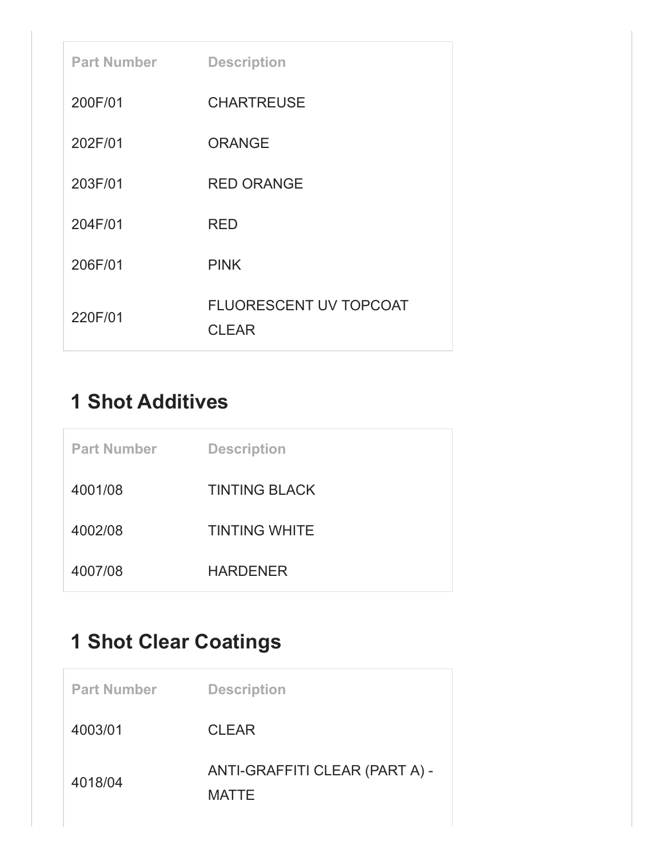| <b>Part Number</b> | <b>Description</b>                            |
|--------------------|-----------------------------------------------|
| 200F/01            | <b>CHARTREUSE</b>                             |
| 202F/01            | <b>ORANGE</b>                                 |
| 203F/01            | <b>RED ORANGE</b>                             |
| 204F/01            | <b>RED</b>                                    |
| 206F/01            | <b>PINK</b>                                   |
| 220F/01            | <b>FLUORESCENT UV TOPCOAT</b><br><b>CLEAR</b> |

## **1 Shot Additives**

| <b>Part Number</b> | <b>Description</b>   |
|--------------------|----------------------|
| 4001/08            | <b>TINTING BLACK</b> |
| 4002/08            | <b>TINTING WHITE</b> |
| 4007/08            | <b>HARDENER</b>      |

## **1 Shot Clear Coatings**

| <b>Part Number</b> | <b>Description</b>                             |
|--------------------|------------------------------------------------|
| 4003/01            | <b>CLEAR</b>                                   |
| 4018/04            | ANTI-GRAFFITI CLEAR (PART A) -<br><b>MATTE</b> |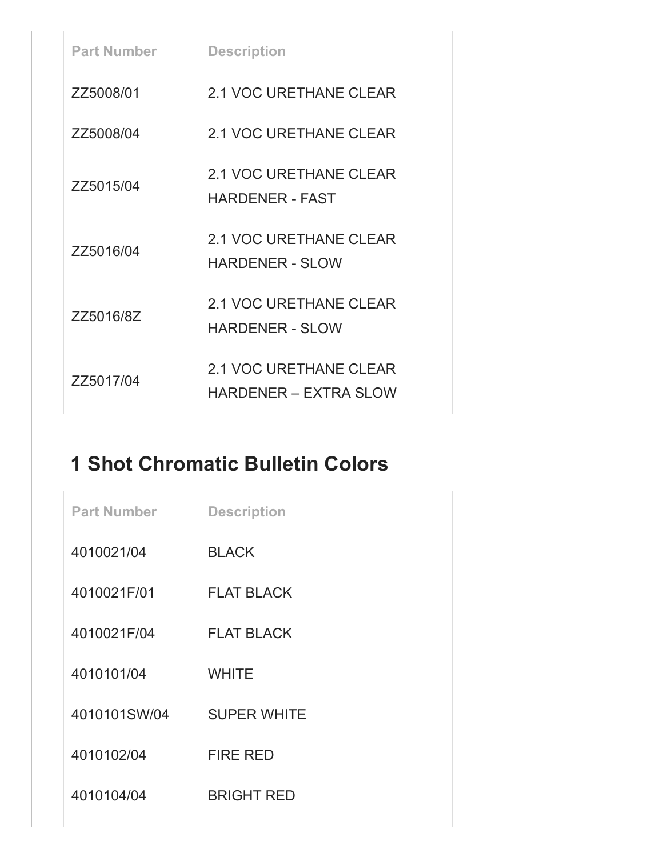| <b>Part Number</b> | <b>Description</b>                                      |
|--------------------|---------------------------------------------------------|
| ZZ5008/01          | 2.1 VOC URETHANE CLEAR                                  |
| ZZ5008/04          | 2.1 VOC URETHANE CLEAR                                  |
| ZZ5015/04          | 2.1 VOC URETHANE CLEAR<br><b>HARDENER - FAST</b>        |
| ZZ5016/04          | 2.1 VOC URETHANE CLEAR<br><b>HARDENER - SLOW</b>        |
| ZZ5016/8Z          | <b>2.1 VOC URETHANE CLEAR</b><br><b>HARDENER - SLOW</b> |
| ZZ5017/04          | 2.1 VOC URETHANE CLEAR<br><b>HARDENER – EXTRA SLOW</b>  |

#### **1 Shot Chromatic Bulletin Colors**

| <b>Part Number</b> | <b>Description</b> |
|--------------------|--------------------|
| 4010021/04         | <b>BLACK</b>       |
| 4010021F/01        | <b>FLAT BLACK</b>  |
| 4010021F/04        | <b>FLAT BLACK</b>  |
| 4010101/04         | <b>WHITE</b>       |
| 4010101SW/04       | <b>SUPER WHITE</b> |
| 4010102/04         | <b>FIRE RED</b>    |
| 4010104/04         | <b>BRIGHT RED</b>  |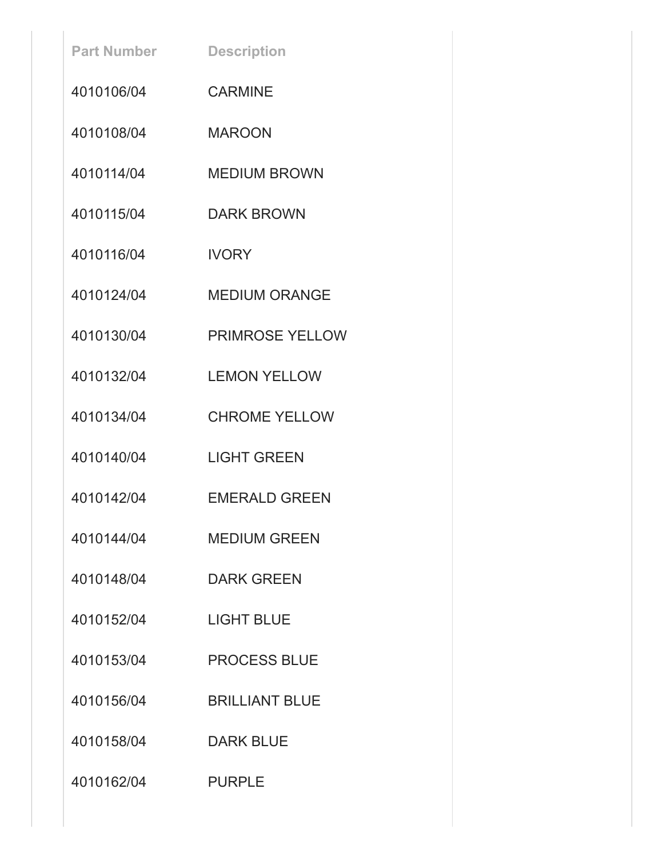| <b>Part Number</b> | <b>Description</b>     |
|--------------------|------------------------|
| 4010106/04         | <b>CARMINE</b>         |
| 4010108/04         | <b>MAROON</b>          |
| 4010114/04         | <b>MEDIUM BROWN</b>    |
| 4010115/04         | <b>DARK BROWN</b>      |
| 4010116/04         | <b>IVORY</b>           |
| 4010124/04         | <b>MEDIUM ORANGE</b>   |
| 4010130/04         | <b>PRIMROSE YELLOW</b> |
| 4010132/04         | <b>LEMON YELLOW</b>    |
| 4010134/04         | <b>CHROME YELLOW</b>   |
| 4010140/04         | <b>LIGHT GREEN</b>     |
| 4010142/04         | <b>EMERALD GREEN</b>   |
| 4010144/04         | <b>MEDIUM GREEN</b>    |
| 4010148/04         | <b>DARK GREEN</b>      |
| 4010152/04         | <b>LIGHT BLUE</b>      |
| 4010153/04         | <b>PROCESS BLUE</b>    |
| 4010156/04         | <b>BRILLIANT BLUE</b>  |
| 4010158/04         | <b>DARK BLUE</b>       |
| 4010162/04         | <b>PURPLE</b>          |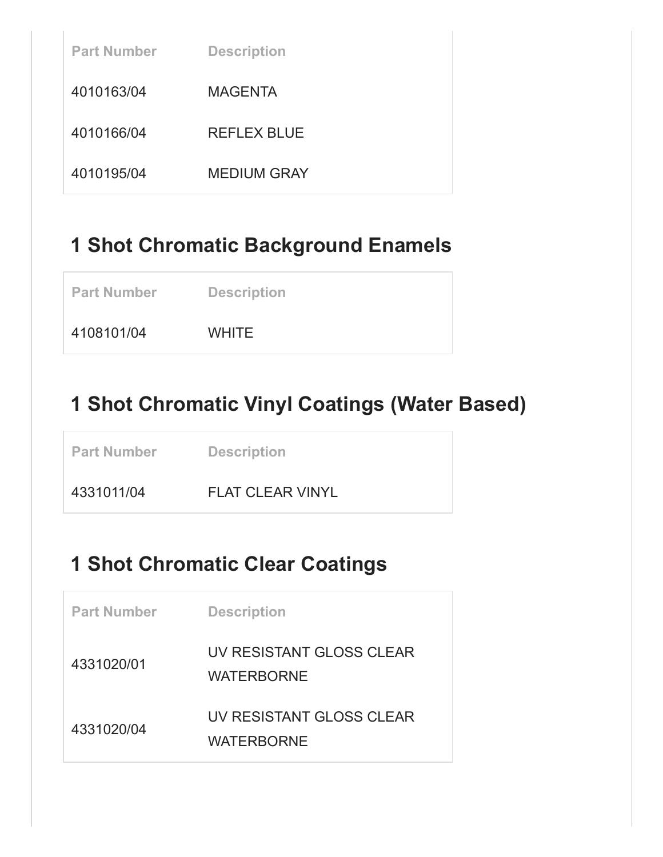| <b>Part Number</b> | <b>Description</b> |
|--------------------|--------------------|
| 4010163/04         | <b>MAGENTA</b>     |
| 4010166/04         | REFLEX BLUE        |
| 4010195/04         | <b>MEDIUM GRAY</b> |

#### **1 Shot Chromatic Background Enamels**

4108101/04 WHITE

## **1 Shot Chromatic Vinyl Coatings (Water Based)**

**Part Number Description** 

4331011/04 FLAT CLEAR VINYL

#### **1 Shot Chromatic Clear Coatings**

| <b>Part Number</b> | <b>Description</b>                            |
|--------------------|-----------------------------------------------|
| 4331020/01         | UV RESISTANT GLOSS CLEAR<br><b>WATERBORNE</b> |
| 4331020/04         | UV RESISTANT GLOSS CLEAR<br>WATERBORNE        |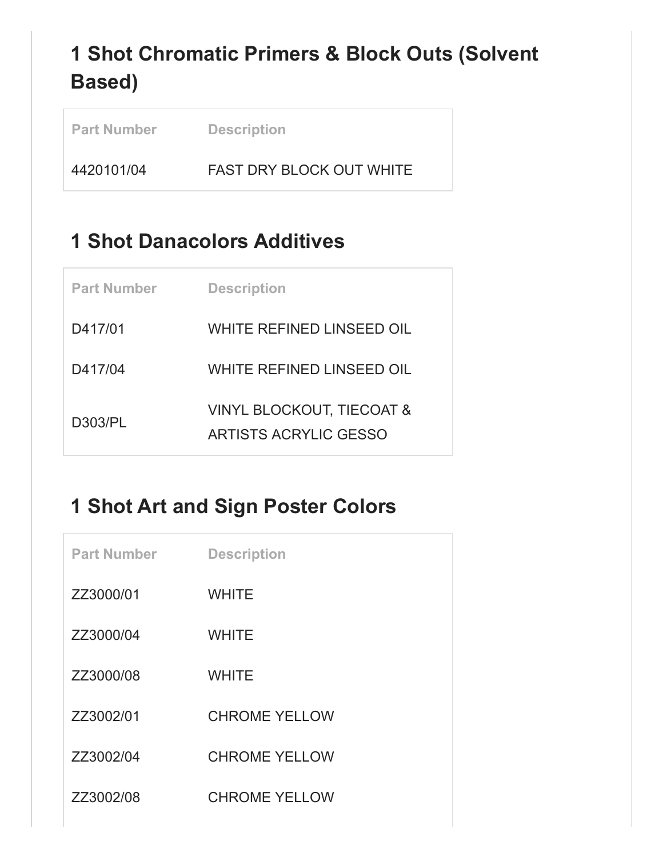# **1 Shot Chromatic Primers & Block Outs (Solvent Based)**

| <b>Part Number</b> | <b>Description</b>              |
|--------------------|---------------------------------|
| 4420101/04         | <b>FAST DRY BLOCK OUT WHITE</b> |

#### **1 Shot Danacolors Additives**

| <b>Part Number</b> | <b>Description</b>                                                   |
|--------------------|----------------------------------------------------------------------|
| D417/01            | WHITE REFINED LINSEED OIL                                            |
| D417/04            | WHITE REFINED LINSEED OIL                                            |
| D303/PL            | <b>VINYL BLOCKOUT, TIECOAT &amp;</b><br><b>ARTISTS ACRYLIC GESSO</b> |

## **1 Shot Art and Sign Poster Colors**

| <b>Part Number</b> | <b>Description</b>   |
|--------------------|----------------------|
| ZZ3000/01          | <b>WHITE</b>         |
| ZZ3000/04          | <b>WHITE</b>         |
| ZZ3000/08          | <b>WHITE</b>         |
| ZZ3002/01          | <b>CHROME YELLOW</b> |
| ZZ3002/04          | <b>CHROME YELLOW</b> |
| ZZ3002/08          | <b>CHROME YELLOW</b> |